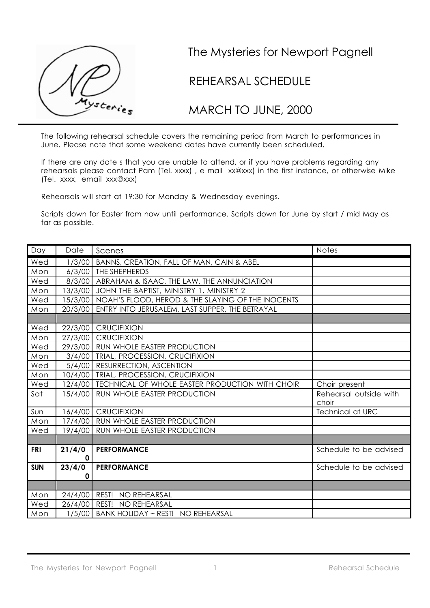

## The Mysteries for Newport Pagnell

## REHEARSAL SCHEDULE

MARCH TO JUNE, 2000

The following rehearsal schedule covers the remaining period from March to performances in June. Please note that some weekend dates have currently been scheduled.

If there are any date s that you are unable to attend, or if you have problems regarding any rehearsals please contact Pam (Tel. xxxx) , e mail xx@xxx) in the first instance, or otherwise Mike (Tel. xxxx, email xxx@xxx)

Rehearsals will start at 19:30 for Monday & Wednesday evenings.

Scripts down for Easter from now until performance. Scripts down for June by start / mid May as far as possible.

| Day        | Date          | Scenes                                                    | <b>Notes</b>                    |
|------------|---------------|-----------------------------------------------------------|---------------------------------|
| Wed        |               | 1/3/00   BANNS, CREATION, FALL OF MAN, CAIN & ABEL        |                                 |
| Mon        |               | 6/3/00   THE SHEPHERDS                                    |                                 |
| Wed        |               | 8/3/00 ABRAHAM & ISAAC, THE LAW, THE ANNUNCIATION         |                                 |
| Mon        | 13/3/00       | JOHN THE BAPTIST, MINISTRY 1, MINISTRY 2                  |                                 |
| Wed        | 15/3/00       | NOAH'S FLOOD, HEROD & THE SLAYING OF THE INOCENTS         |                                 |
| Mon        |               | 20/3/00 ENTRY INTO JERUSALEM, LAST SUPPER, THE BETRAYAL   |                                 |
|            |               |                                                           |                                 |
| Wed        |               | 22/3/00 CRUCIFIXION                                       |                                 |
| Mon        | 27/3/00       | <b>CRUCIFIXION</b>                                        |                                 |
| Wed        |               | 29/3/00 RUN WHOLE EASTER PRODUCTION                       |                                 |
| Mon        | 3/4/00        | TRIAL, PROCESSION, CRUCIFIXION                            |                                 |
| Wed        | 5/4/00        | RESURRECTION, ASCENTION                                   |                                 |
| Mon        | 10/4/00       | TRIAL, PROCESSION, CRUCIFIXION                            |                                 |
| Wed        |               | 12/4/00   TECHNICAL OF WHOLE EASTER PRODUCTION WITH CHOIR | Choir present                   |
| Sat        | 15/4/00       | RUN WHOLE EASTER PRODUCTION                               | Rehearsal outside with<br>choir |
| Sun        |               | 16/4/00 CRUCIFIXION                                       | <b>Technical at URC</b>         |
| Mon        |               | 17/4/00   RUN WHOLE EASTER PRODUCTION                     |                                 |
| Wed        |               | 19/4/00   RUN WHOLE EASTER PRODUCTION                     |                                 |
|            |               |                                                           |                                 |
| <b>FRI</b> | 21/4/0        | <b>PERFORMANCE</b>                                        | Schedule to be advised          |
|            | $\mathbf 0$   |                                                           |                                 |
| <b>SUN</b> | 23/4/0        | <b>PERFORMANCE</b>                                        | Schedule to be advised          |
|            | 0             |                                                           |                                 |
|            |               |                                                           |                                 |
| Mon        |               | 24/4/00 REST! NO REHEARSAL                                |                                 |
| Wed        | 26/4/00 REST! | NO REHEARSAL                                              |                                 |
| I<br>Mon   |               | 1/5/00 BANK HOLIDAY ~ REST! NO REHEARSAL                  |                                 |